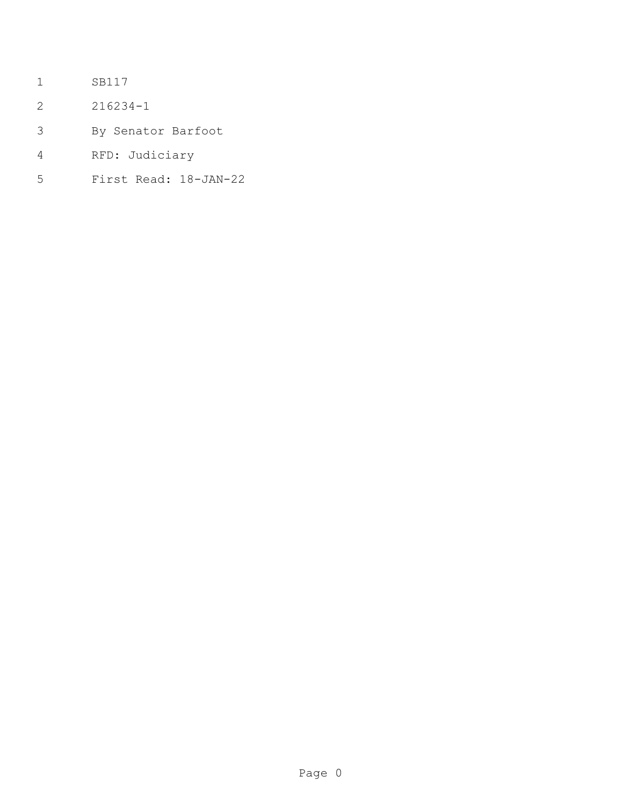- SB117
- 216234-1
- By Senator Barfoot
- RFD: Judiciary
- First Read: 18-JAN-22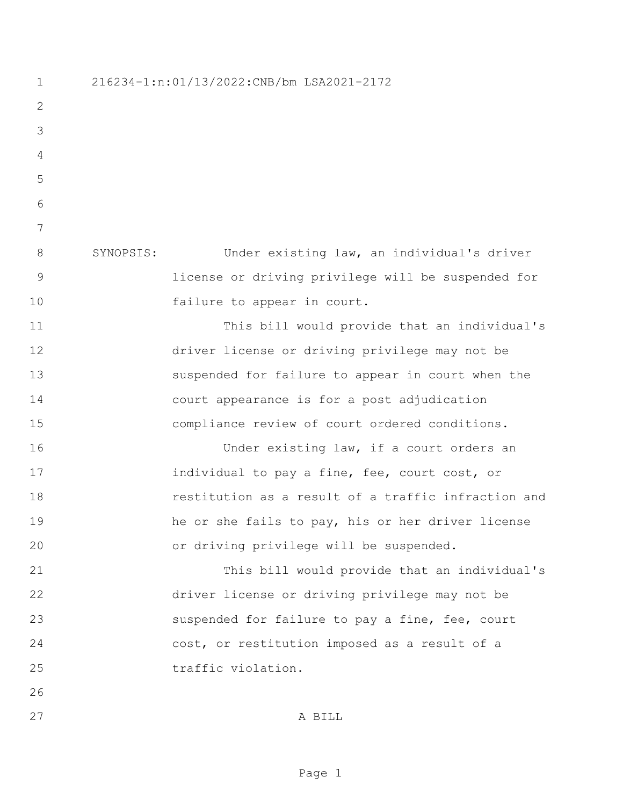216234-1:n:01/13/2022:CNB/bm LSA2021-2172 SYNOPSIS: Under existing law, an individual's driver license or driving privilege will be suspended for 10 failure to appear in court. This bill would provide that an individual's driver license or driving privilege may not be suspended for failure to appear in court when the court appearance is for a post adjudication compliance review of court ordered conditions. 16 Under existing law, if a court orders an **individual to pay a fine, fee, court cost, or**  restitution as a result of a traffic infraction and he or she fails to pay, his or her driver license or driving privilege will be suspended. This bill would provide that an individual's driver license or driving privilege may not be 23 suspended for failure to pay a fine, fee, court cost, or restitution imposed as a result of a 25 traffic violation. A BILL

Page 1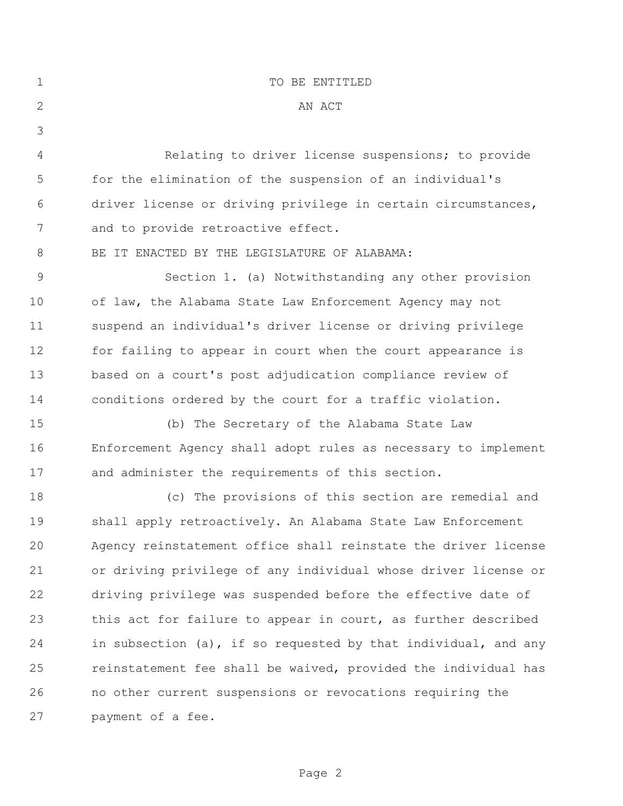| $\mathbf 1$ | TO BE ENTITLED                                                 |
|-------------|----------------------------------------------------------------|
| 2           | AN ACT                                                         |
| 3           |                                                                |
| 4           | Relating to driver license suspensions; to provide             |
| 5           | for the elimination of the suspension of an individual's       |
| 6           | driver license or driving privilege in certain circumstances,  |
| 7           | and to provide retroactive effect.                             |
| 8           | BE IT ENACTED BY THE LEGISLATURE OF ALABAMA:                   |
| 9           | Section 1. (a) Notwithstanding any other provision             |
| 10          | of law, the Alabama State Law Enforcement Agency may not       |
| 11          | suspend an individual's driver license or driving privilege    |
| 12          | for failing to appear in court when the court appearance is    |
| 13          | based on a court's post adjudication compliance review of      |
| 14          | conditions ordered by the court for a traffic violation.       |
| 15          | (b) The Secretary of the Alabama State Law                     |
| 16          | Enforcement Agency shall adopt rules as necessary to implement |
| 17          | and administer the requirements of this section.               |
| 18          | (c) The provisions of this section are remedial and            |
| 19          | shall apply retroactively. An Alabama State Law Enforcement    |
| 20          | Agency reinstatement office shall reinstate the driver license |
| 21          | or driving privilege of any individual whose driver license or |
| 22          | driving privilege was suspended before the effective date of   |
| 23          | this act for failure to appear in court, as further described  |
| 24          | in subsection (a), if so requested by that individual, and any |
| 25          | reinstatement fee shall be waived, provided the individual has |
| 26          | no other current suspensions or revocations requiring the      |
| 27          | payment of a fee.                                              |